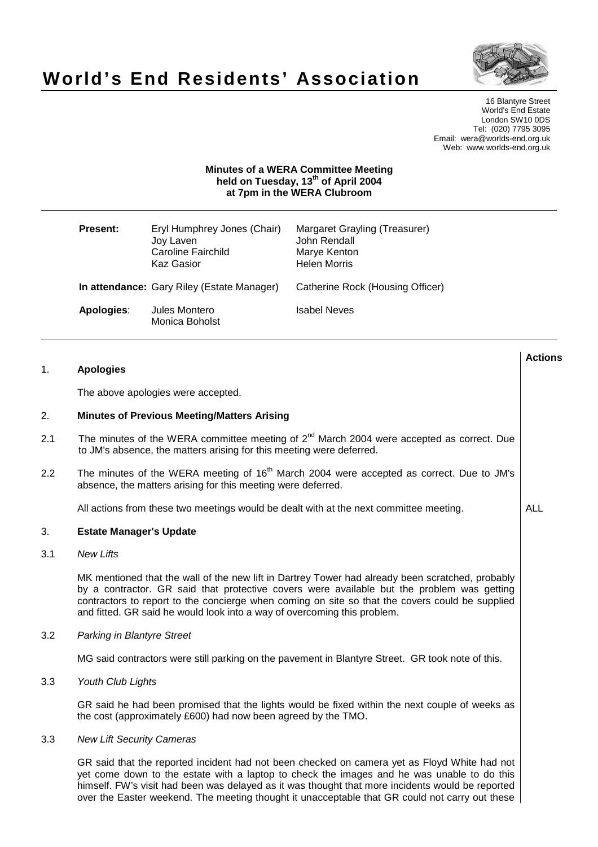# **World's End Residents' Association**



**Actions**

16 Blantyre Street World's End Estate London SW10 0DS Tel: (020) 7795 3095 Email: wera@worlds-end.org.uk Web: www.worlds-end.org.uk

### **Minutes of a WERA Committee Meeting held on Tuesday, 13 th of April 2004 at 7pm in the WERA Clubroom**

| <b>Present:</b> | Eryl Humphrey Jones (Chair)<br>Joy Laven<br>Caroline Fairchild<br><b>Kaz Gasior</b> | Margaret Grayling (Treasurer)<br>John Rendall<br>Marye Kenton<br><b>Helen Morris</b> |
|-----------------|-------------------------------------------------------------------------------------|--------------------------------------------------------------------------------------|
|                 | In attendance: Gary Riley (Estate Manager)                                          | Catherine Rock (Housing Officer)                                                     |
| Apologies:      | Jules Montero<br>Monica Boholst                                                     | Isabel Neves                                                                         |

### 1. **Apologies**

The above apologies were accepted.

#### 2. **Minutes of Previous Meeting/Matters Arising**

- 2.1 The minutes of the WERA committee meeting of  $2^{nd}$  March 2004 were accepted as correct. Due to JM's absence, the matters arising for this meeting were deferred.
- 2.2 The minutes of the WERA meeting of  $16<sup>th</sup>$  March 2004 were accepted as correct. Due to JM's absence, the matters arising for this meeting were deferred.

All actions from these two meetings would be dealt with at the next committee meeting.  $\vert$  ALL

#### 3. **Estate Manager's Update**

3.1 New Lifts

MK mentioned that the wall of the new lift in Dartrey Tower had already been scratched, probably by a contractor. GR said that protective covers were available but the problem was getting contractors to report to the concierge when coming on site so that the covers could be supplied and fitted. GR said he would look into a way of overcoming this problem.

3.2 Parking in Blantyre Street

MG said contractors were still parking on the pavement in Blantyre Street. GR took note of this.

3.3 Youth Club Lights

GR said he had been promised that the lights would be fixed within the next couple of weeks as the cost (approximately £600) had now been agreed by the TMO.

3.3 New Lift Security Cameras

GR said that the reported incident had not been checked on camera yet as Floyd White had not yet come down to the estate with a laptop to check the images and he was unable to do this himself. FW's visit had been was delayed as it was thought that more incidents would be reported over the Easter weekend. The meeting thought it unacceptable that GR could not carry out these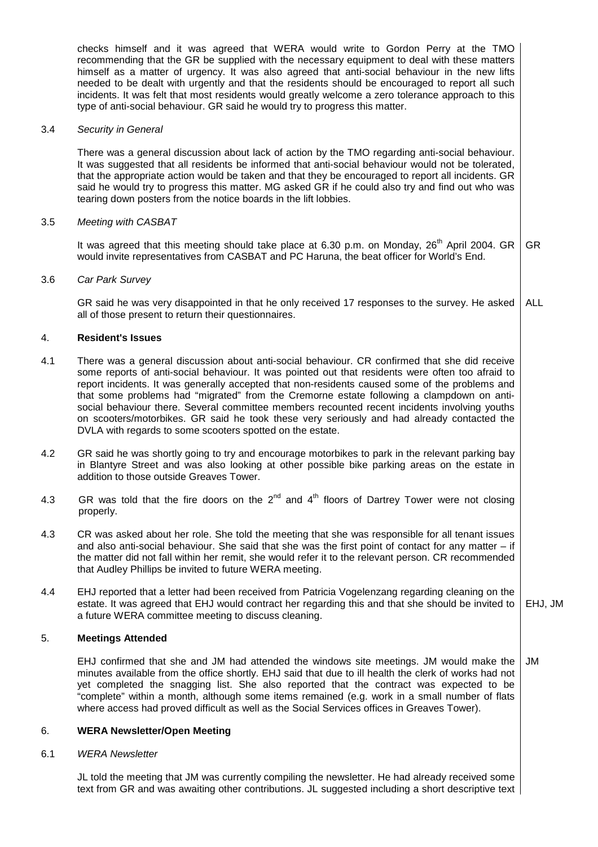checks himself and it was agreed that WERA would write to Gordon Perry at the TMO recommending that the GR be supplied with the necessary equipment to deal with these matters himself as a matter of urgency. It was also agreed that anti-social behaviour in the new lifts needed to be dealt with urgently and that the residents should be encouraged to report all such incidents. It was felt that most residents would greatly welcome a zero tolerance approach to this type of anti-social behaviour. GR said he would try to progress this matter.

#### 3.4 Security in General

There was a general discussion about lack of action by the TMO regarding anti-social behaviour. It was suggested that all residents be informed that anti-social behaviour would not be tolerated, that the appropriate action would be taken and that they be encouraged to report all incidents. GR said he would try to progress this matter. MG asked GR if he could also try and find out who was tearing down posters from the notice boards in the lift lobbies.

#### 3.5 Meeting with CASBAT

It was agreed that this meeting should take place at 6.30 p.m. on Monday, 26<sup>th</sup> April 2004. GR would invite representatives from CASBAT and PC Haruna, the beat officer for World's End. GR

#### 3.6 Car Park Survey

GR said he was very disappointed in that he only received 17 responses to the survey. He asked all of those present to return their questionnaires. ALL

#### 4. **Resident's Issues**

- 4.1 There was a general discussion about anti-social behaviour. CR confirmed that she did receive some reports of anti-social behaviour. It was pointed out that residents were often too afraid to report incidents. It was generally accepted that non-residents caused some of the problems and that some problems had "migrated" from the Cremorne estate following a clampdown on antisocial behaviour there. Several committee members recounted recent incidents involving youths on scooters/motorbikes. GR said he took these very seriously and had already contacted the DVLA with regards to some scooters spotted on the estate.
- 4.2 GR said he was shortly going to try and encourage motorbikes to park in the relevant parking bay in Blantyre Street and was also looking at other possible bike parking areas on the estate in addition to those outside Greaves Tower.
- 4.3 GR was told that the fire doors on the 2<sup>nd</sup> and 4<sup>th</sup> floors of Dartrey Tower were not closing properly.
- 4.3 CR was asked about her role. She told the meeting that she was responsible for all tenant issues and also anti-social behaviour. She said that she was the first point of contact for any matter – if the matter did not fall within her remit, she would refer it to the relevant person. CR recommended that Audley Phillips be invited to future WERA meeting.
- 4.4 EHJ reported that a letter had been received from Patricia Vogelenzang regarding cleaning on the estate. It was agreed that EHJ would contract her regarding this and that she should be invited to a future WERA committee meeting to discuss cleaning. EHJ, JM

#### 5. **Meetings Attended**

EHJ confirmed that she and JM had attended the windows site meetings. JM would make the minutes available from the office shortly. EHJ said that due to ill health the clerk of works had not yet completed the snagging list. She also reported that the contract was expected to be "complete" within a month, although some items remained (e.g. work in a small number of flats where access had proved difficult as well as the Social Services offices in Greaves Tower). JM

#### 6. **WERA Newsletter/Open Meeting**

#### 6.1 WERA Newsletter

JL told the meeting that JM was currently compiling the newsletter. He had already received some text from GR and was awaiting other contributions. JL suggested including a short descriptive text